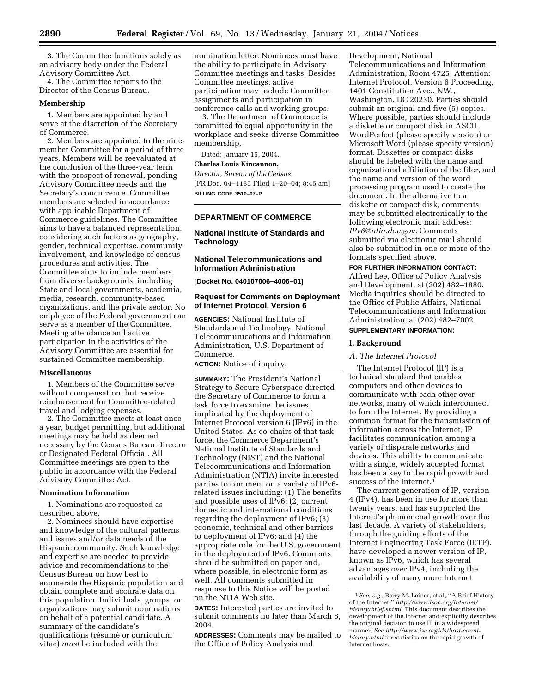3. The Committee functions solely as an advisory body under the Federal Advisory Committee Act.

4. The Committee reports to the Director of the Census Bureau.

#### **Membership**

1. Members are appointed by and serve at the discretion of the Secretary of Commerce.

2. Members are appointed to the ninemember Committee for a period of three years. Members will be reevaluated at the conclusion of the three-year term with the prospect of renewal, pending Advisory Committee needs and the Secretary's concurrence. Committee members are selected in accordance with applicable Department of Commerce guidelines. The Committee aims to have a balanced representation, considering such factors as geography, gender, technical expertise, community involvement, and knowledge of census procedures and activities. The Committee aims to include members from diverse backgrounds, including State and local governments, academia, media, research, community-based organizations, and the private sector. No employee of the Federal government can serve as a member of the Committee. Meeting attendance and active participation in the activities of the Advisory Committee are essential for sustained Committee membership.

#### **Miscellaneous**

1. Members of the Committee serve without compensation, but receive reimbursement for Committee-related travel and lodging expenses.

2. The Committee meets at least once a year, budget permitting, but additional meetings may be held as deemed necessary by the Census Bureau Director or Designated Federal Official. All Committee meetings are open to the public in accordance with the Federal Advisory Committee Act.

#### **Nomination Information**

1. Nominations are requested as described above.

2. Nominees should have expertise and knowledge of the cultural patterns and issues and/or data needs of the Hispanic community. Such knowledge and expertise are needed to provide advice and recommendations to the Census Bureau on how best to enumerate the Hispanic population and obtain complete and accurate data on this population. Individuals, groups, or organizations may submit nominations on behalf of a potential candidate. A summary of the candidate's qualifications (résumé or curriculum vitae) *must* be included with the

nomination letter. Nominees must have the ability to participate in Advisory Committee meetings and tasks. Besides Committee meetings, active participation may include Committee assignments and participation in conference calls and working groups.

3. The Department of Commerce is committed to equal opportunity in the workplace and seeks diverse Committee membership.

Dated: January 15, 2004.

# **Charles Louis Kincannon,**

*Director, Bureau of the Census.* [FR Doc. 04–1185 Filed 1–20–04; 8:45 am] **BILLING CODE 3510–07–P**

### **DEPARTMENT OF COMMERCE**

### **National Institute of Standards and Technology**

# **National Telecommunications and Information Administration**

**[Docket No. 040107006–4006–01]** 

# **Request for Comments on Deployment of Internet Protocol, Version 6**

**AGENCIES:** National Institute of Standards and Technology, National Telecommunications and Information Administration, U.S. Department of Commerce.

**ACTION:** Notice of inquiry.

**SUMMARY:** The President's National Strategy to Secure Cyberspace directed the Secretary of Commerce to form a task force to examine the issues implicated by the deployment of Internet Protocol version 6 (IPv6) in the United States. As co-chairs of that task force, the Commerce Department's National Institute of Standards and Technology (NIST) and the National Telecommunications and Information Administration (NTIA) invite interested parties to comment on a variety of IPv6 related issues including: (1) The benefits and possible uses of IPv6; (2) current domestic and international conditions regarding the deployment of IPv6; (3) economic, technical and other barriers to deployment of IPv6; and (4) the appropriate role for the U.S. government in the deployment of IPv6. Comments should be submitted on paper and, where possible, in electronic form as well. All comments submitted in response to this Notice will be posted on the NTIA Web site.

**DATES:** Interested parties are invited to submit comments no later than March 8, 2004.

**ADDRESSES:** Comments may be mailed to the Office of Policy Analysis and

Development, National Telecommunications and Information Administration, Room 4725, Attention: Internet Protocol, Version 6 Proceeding, 1401 Constitution Ave., NW., Washington, DC 20230. Parties should submit an original and five (5) copies. Where possible, parties should include a diskette or compact disk in ASCII, WordPerfect (please specify version) or Microsoft Word (please specify version) format. Diskettes or compact disks should be labeled with the name and organizational affiliation of the filer, and the name and version of the word processing program used to create the document. In the alternative to a diskette or compact disk, comments may be submitted electronically to the following electronic mail address: *IPv6@ntia.doc.gov.* Comments submitted via electronic mail should also be submitted in one or more of the formats specified above.

**FOR FURTHER INFORMATION CONTACT:**

Alfred Lee, Office of Policy Analysis and Development, at (202) 482–1880. Media inquiries should be directed to the Office of Public Affairs, National Telecommunications and Information Administration, at (202) 482–7002.

### **SUPPLEMENTARY INFORMATION:**

#### **I. Background**

#### *A. The Internet Protocol*

The Internet Protocol (IP) is a technical standard that enables computers and other devices to communicate with each other over networks, many of which interconnect to form the Internet. By providing a common format for the transmission of information across the Internet, IP facilitates communication among a variety of disparate networks and devices. This ability to communicate with a single, widely accepted format has been a key to the rapid growth and success of the Internet.1

The current generation of IP, version 4 (IPv4), has been in use for more than twenty years, and has supported the Internet's phenomenal growth over the last decade. A variety of stakeholders, through the guiding efforts of the Internet Engineering Task Force (IETF), have developed a newer version of IP, known as IPv6, which has several advantages over IPv4, including the availability of many more Internet

<sup>1</sup>*See, e.g.,* Barry M. Leiner, et al, ''A Brief History of the Internet,'' *http://www.isoc.org/internet/ history/brief.shtml.* This document describes the development of the Internet and explicitly describes the original decision to use IP in a widespread manner. *See http://www.isc.org/ds/host-counthistory.html* for statistics on the rapid growth of Internet hosts.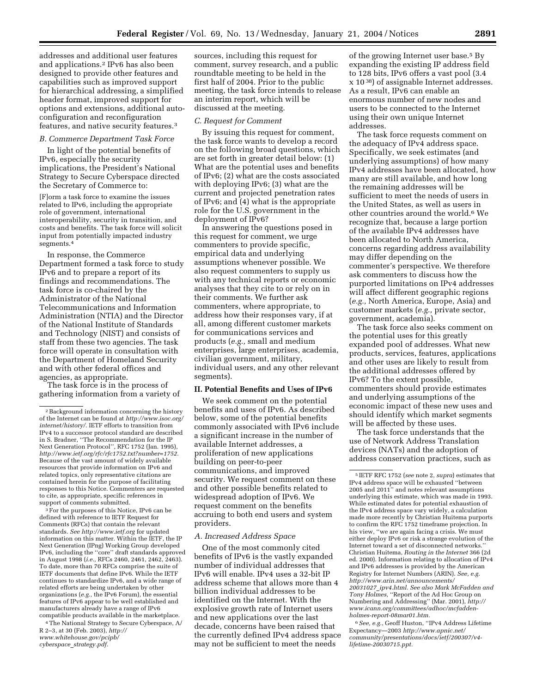addresses and additional user features and applications.2 IPv6 has also been designed to provide other features and capabilities such as improved support for hierarchical addressing, a simplified header format, improved support for options and extensions, additional autoconfiguration and reconfiguration features, and native security features.3

### *B. Commerce Department Task Force*

In light of the potential benefits of IPv6, especially the security implications, the President's National Strategy to Secure Cyberspace directed the Secretary of Commerce to:

[F]orm a task force to examine the issues related to IPv6, including the appropriate role of government, international interoperability, security in transition, and costs and benefits. The task force will solicit input from potentially impacted industry segments.4

In response, the Commerce Department formed a task force to study IPv6 and to prepare a report of its findings and recommendations. The task force is co-chaired by the Administrator of the National Telecommunications and Information Administration (NTIA) and the Director of the National Institute of Standards and Technology (NIST) and consists of staff from these two agencies. The task force will operate in consultation with the Department of Homeland Security and with other federal offices and agencies, as appropriate.

The task force is in the process of gathering information from a variety of

3For the purposes of this Notice, IPv6 can be defined with reference to IETF Request for Comments (RFCs) that contain the relevant standards. *See http://www.ietf.org* for updated information on this matter. Within the IETF, the IP Next Generation (IPng) Working Group developed IPv6, including the ''core'' draft standards approved in August 1998 (*i.e.,* RFCs 2460, 2461, 2462, 2463). To date, more than 70 RFCs comprise the suite of IETF documents that define IPv6. While the IETF continues to standardize IPv6, and a wide range of related efforts are being undertaken by other organizations (*e.g.,* the IPv6 Forum), the essential features of IPv6 appear to be well established and manufacturers already have a range of IPv6 compatible products available in the marketplace.

4The National Strategy to Secure Cyberspace, A/ R 2–3, at 30 (Feb. 2003), *http:// www.whitehouse.gov/pcipb/*

sources, including this request for comment, survey research, and a public roundtable meeting to be held in the first half of 2004. Prior to the public meeting, the task force intends to release an interim report, which will be discussed at the meeting.

#### *C. Request for Comment*

By issuing this request for comment, the task force wants to develop a record on the following broad questions, which are set forth in greater detail below: (1) What are the potential uses and benefits of IPv6; (2) what are the costs associated with deploying IPv6; (3) what are the current and projected penetration rates of IPv6; and (4) what is the appropriate role for the U.S. government in the deployment of IPv6?

In answering the questions posed in this request for comment, we urge commenters to provide specific, empirical data and underlying assumptions whenever possible. We also request commenters to supply us with any technical reports or economic analyses that they cite to or rely on in their comments. We further ask commenters, where appropriate, to address how their responses vary, if at all, among different customer markets for communications services and products (*e.g.,* small and medium enterprises, large enterprises, academia, civilian government, military, individual users, and any other relevant segments).

#### **II. Potential Benefits and Uses of IPv6**

We seek comment on the potential benefits and uses of IPv6. As described below, some of the potential benefits commonly associated with IPv6 include a significant increase in the number of available Internet addresses, a proliferation of new applications building on peer-to-peer communications, and improved security. We request comment on these and other possible benefits related to widespread adoption of IPv6. We request comment on the benefits accruing to both end users and system providers.

#### *A. Increased Address Space*

One of the most commonly cited benefits of IPv6 is the vastly expanded number of individual addresses that IPv6 will enable. IPv4 uses a 32-bit IP address scheme that allows more than 4 billion individual addresses to be identified on the Internet. With the explosive growth rate of Internet users and new applications over the last decade, concerns have been raised that the currently defined IPv4 address space may not be sufficient to meet the needs

of the growing Internet user base.<sup>5</sup> By expanding the existing IP address field to 128 bits, IPv6 offers a vast pool (3.4 x 10 38) of assignable Internet addresses. As a result, IPv6 can enable an enormous number of new nodes and users to be connected to the Internet using their own unique Internet addresses.

The task force requests comment on the adequacy of IPv4 address space. Specifically, we seek estimates (and underlying assumptions) of how many IPv4 addresses have been allocated, how many are still available, and how long the remaining addresses will be sufficient to meet the needs of users in the United States, as well as users in other countries around the world.<sup>6</sup> We recognize that, because a large portion of the available IPv4 addresses have been allocated to North America, concerns regarding address availability may differ depending on the commenter's perspective. We therefore ask commenters to discuss how the purported limitations on IPv4 addresses will affect different geographic regions (*e.g.,* North America, Europe, Asia) and customer markets (*e.g.,* private sector, government, academia).

The task force also seeks comment on the potential uses for this greatly expanded pool of addresses. What new products, services, features, applications and other uses are likely to result from the additional addresses offered by IPv6? To the extent possible, commenters should provide estimates and underlying assumptions of the economic impact of these new uses and should identify which market segments will be affected by these uses.

The task force understands that the use of Network Address Translation devices (NATs) and the adoption of address conservation practices, such as

6*See, e.g.*, Geoff Huston, ''IPv4 Address Lifetime Expectancy—2003 *http://www.apnic.net/ community/presentations/docs/ietf/200307/v4 lifetime-20030715.ppt.*

 $\sqrt[2]{2}$  Background information concerning the history of the Internet can be found at *http://www.isoc.org/ internet/history/.* IETF efforts to transition from IPv4 to a successor protocol standard are described in S. Bradner, ''The Recommendation for the IP Next Generation Protocol'', RFC 1752 (Jan. 1995), *http://www.ietf.org/rfc/rfc1752.txt?number=1752.* Because of the vast amount of widely available resources that provide information on IPv6 and related topics, only representative citations are contained herein for the purpose of facilitating responses to this Notice. Commenters are requested to cite, as appropriate, specific references in support of comments submitted.

*cyberspace*\_*strategy.pdf.*

<sup>5</sup> IETF RFC 1752 (*see* note 2, *supra*) estimates that IPv4 address space will be exhausted ''between 2005 and 2011'' and notes relevant assumptions underlying this estimate, which was made in 1993. While estimated dates for potential exhaustion of the IPv4 address space vary widely, a calculation made more recently by Christian Huitema purports to confirm the RFC 1752 timeframe projection. In his view, ''we are again facing a crisis. We must either deploy IPv6 or risk a strange evolution of the Internet toward a set of disconnected networks. Christian Huitema, *Routing in the Internet* 366 (2d ed. 2000). Information relating to allocation of IPv4 and IPv6 addresses is provided by the American Registry for Internet Numbers (ARIN). *See, e.g. http://www.arin.net/announcements/ 20031027*\_*ipv4.html. See also Mark McFadden and Tony Holmes,* ''Report of the Ad Hoc Group on Numbering and Addressing'' (Mar. 2001), *http:// www.icann.org/committees/adhoc/mcfaddenholmes-report-08mar01.htm.*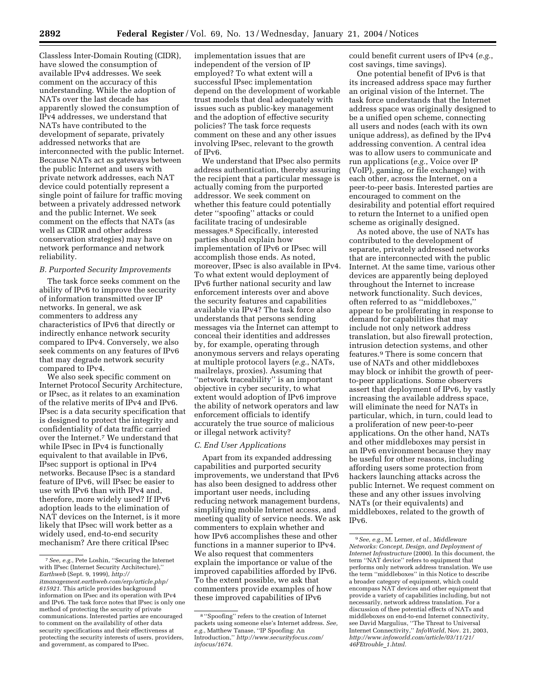Classless Inter-Domain Routing (CIDR), have slowed the consumption of available IPv4 addresses. We seek comment on the accuracy of this understanding. While the adoption of NATs over the last decade has apparently slowed the consumption of IPv4 addresses, we understand that NATs have contributed to the development of separate, privately addressed networks that are interconnected with the public Internet. Because NATs act as gateways between the public Internet and users with private network addresses, each NAT device could potentially represent a single point of failure for traffic moving between a privately addressed network and the public Internet. We seek comment on the effects that NATs (as well as CIDR and other address conservation strategies) may have on network performance and network reliability.

### *B. Purported Security Improvements*

The task force seeks comment on the ability of IPv6 to improve the security of information transmitted over IP networks. In general, we ask commenters to address any characteristics of IPv6 that directly or indirectly enhance network security compared to IPv4. Conversely, we also seek comments on any features of IPv6 that may degrade network security compared to IPv4.

We also seek specific comment on Internet Protocol Security Architecture, or IPsec, as it relates to an examination of the relative merits of IPv4 and IPv6. IPsec is a data security specification that is designed to protect the integrity and confidentiality of data traffic carried over the Internet.7 We understand that while IPsec in IPv4 is functionally equivalent to that available in IPv6, IPsec support is optional in IPv4 networks. Because IPsec is a standard feature of IPv6, will IPsec be easier to use with IPv6 than with IPv4 and, therefore, more widely used? If IPv6 adoption leads to the elimination of NAT devices on the Internet, is it more likely that IPsec will work better as a widely used, end-to-end security mechanism? Are there critical IPsec

implementation issues that are independent of the version of IP employed? To what extent will a successful IPsec implementation depend on the development of workable trust models that deal adequately with issues such as public-key management and the adoption of effective security policies? The task force requests comment on these and any other issues involving IPsec, relevant to the growth of IPv6.

We understand that IPsec also permits address authentication, thereby assuring the recipient that a particular message is actually coming from the purported addressor. We seek comment on whether this feature could potentially deter ''spoofing'' attacks or could facilitate tracing of undesirable messages.8 Specifically, interested parties should explain how implementation of IPv6 or IPsec will accomplish those ends. As noted, moreover, IPsec is also available in IPv4. To what extent would deployment of IPv6 further national security and law enforcement interests over and above the security features and capabilities available via IPv4? The task force also understands that persons sending messages via the Internet can attempt to conceal their identities and addresses by, for example, operating through anonymous servers and relays operating at multiple protocol layers (*e.g.*, NATs, mailrelays, proxies). Assuming that ''network traceability'' is an important objective in cyber security, to what extent would adoption of IPv6 improve the ability of network operators and law enforcement officials to identify accurately the true source of malicious or illegal network activity?

### *C. End User Applications*

Apart from its expanded addressing capabilities and purported security improvements, we understand that IPv6 has also been designed to address other important user needs, including reducing network management burdens, simplifying mobile Internet access, and meeting quality of service needs. We ask commenters to explain whether and how IPv6 accomplishes these and other functions in a manner superior to IPv4. We also request that commenters explain the importance or value of the improved capabilities afforded by IPv6. To the extent possible, we ask that commenters provide examples of how these improved capabilities of IPv6

could benefit current users of IPv4 (*e.g.*, cost savings, time savings).

One potential benefit of IPv6 is that its increased address space may further an original vision of the Internet. The task force understands that the Internet address space was originally designed to be a unified open scheme, connecting all users and nodes (each with its own unique address), as defined by the IPv4 addressing convention. A central idea was to allow users to communicate and run applications (*e.g.*, Voice over IP (VoIP), gaming, or file exchange) with each other, across the Internet, on a peer-to-peer basis. Interested parties are encouraged to comment on the desirability and potential effort required to return the Internet to a unified open scheme as originally designed.

As noted above, the use of NATs has contributed to the development of separate, privately addressed networks that are interconnected with the public Internet. At the same time, various other devices are apparently being deployed throughout the Internet to increase network functionality. Such devices, often referred to as ''middleboxes,'' appear to be proliferating in response to demand for capabilities that may include not only network address translation, but also firewall protection, intrusion detection systems, and other features.9 There is some concern that use of NATs and other middleboxes may block or inhibit the growth of peerto-peer applications. Some observers assert that deployment of IPv6, by vastly increasing the available address space, will eliminate the need for NATs in particular, which, in turn, could lead to a proliferation of new peer-to-peer applications. On the other hand, NATs and other middleboxes may persist in an IPv6 environment because they may be useful for other reasons, including affording users some protection from hackers launching attacks across the public Internet. We request comment on these and any other issues involving NATs (or their equivalents) and middleboxes, related to the growth of IPv6.

<sup>7</sup>*See, e.g.*, Pete Loshin, ''Securing the Internet with IPsec (Internet Security Architecture),'' *Earthweb* (Sept. 9, 1999), *http:// itmanagement.earthweb.com/erp/article.php/ 615921.* This article provides background information on IPsec and its operation with IPv4 and IPv6. The task force notes that IPsec is only one method of protecting the security of private communications. Interested parties are encouraged to comment on the availability of other data security specifications and their effectiveness at protecting the security interests of users, providers, and government, as compared to IPsec.

<sup>8</sup> ''Spoofing'' refers to the creation of Internet packets using someone else's Internet address. *See, e.g.*, Matthew Tanase, ''IP Spoofing: An Introduction,'' *http://www.securityfocus.com/ infocus/1674.*

<sup>9</sup>*See, e.g.*, M. Lerner, *et al.*, *Middleware Networks: Concept, Design, and Deployment of Internet Infrastructure* (2000). In this document, the term ''NAT device'' refers to equipment that performs only network address translation. We use the term ''middleboxes'' in this Notice to describe a broader category of equipment, which could encompass NAT devices and other equipment that provide a variety of capabilities including, but not necessarily, network address translation. For a discussion of thee potential effects of NATs and middleboxes on end-to-end Internet connectivity, see David Margulius, ''The Threat to Universal Internet Connectivity,'' *InfoWorld*, Nov. 21, 2003, *http://www.infoworld.com/article/03/11/21/ 46FEtrouble*\_*1.html.*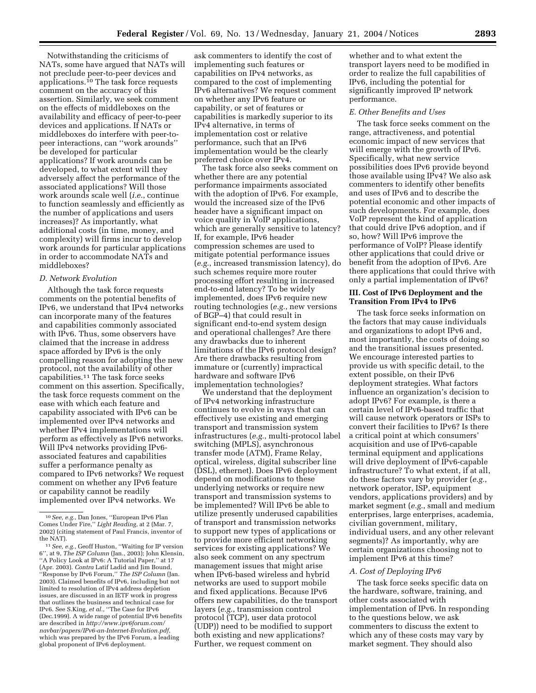Notwithstanding the criticisms of NATs, some have argued that NATs will not preclude peer-to-peer devices and applications.10 The task force requests comment on the accuracy of this assertion. Similarly, we seek comment on the effects of middleboxes on the availability and efficacy of peer-to-peer devices and applications. If NATs or middleboxes do interfere with peer-topeer interactions, can ''work arounds'' be developed for particular applications? If work arounds can be developed, to what extent will they adversely affect the performance of the associated applications? Will those work arounds scale well (*i.e.*, continue to function seamlessly and efficiently as the number of applications and users increases)? As importantly, what additional costs (in time, money, and complexity) will firms incur to develop work arounds for particular applications in order to accommodate NATs and middleboxes?

### *D. Network Evolution*

Although the task force requests comments on the potential benefits of IPv6, we understand that IPv4 networks can incorporate many of the features and capabilities commonly associated with IPv6. Thus, some observers have claimed that the increase in address space afforded by IPv6 is the only compelling reason for adopting the new protocol, not the availability of other capabilities.<sup>11</sup> The task force seeks comment on this assertion. Specifically, the task force requests comment on the ease with which each feature and capability associated with IPv6 can be implemented over IPv4 networks and whether IPv4 implementations will perform as effectively as IPv6 networks. Will IPv4 networks providing IPv6 associated features and capabilities suffer a performance penalty as compared to IPv6 networks? We request comment on whether any IPv6 feature or capability cannot be readily implemented over IPv4 networks. We

ask commenters to identify the cost of implementing such features or capabilities on IPv4 networks, as compared to the cost of implementing IPv6 alternatives? We request comment on whether any IPv6 feature or capability, or set of features or capabilities is markedly superior to its IPv4 alternative, in terms of implementation cost or relative performance, such that an IPv6 implementation would be the clearly preferred choice over IPv4.

The task force also seeks comment on whether there are any potential performance impairments associated with the adoption of IPv6. For example, would the increased size of the IPv6 header have a significant impact on voice quality in VoIP applications, which are generally sensitive to latency? If, for example, IPv6 header compression schemes are used to mitigate potential performance issues (*e.g.*, increased transmission latency), do such schemes require more router processing effort resulting in increased end-to-end latency? To be widely implemented, does IPv6 require new routing technologies (*e.g.*, new versions of BGP–4) that could result in significant end-to-end system design and operational challenges? Are there any drawbacks due to inherent limitations of the IPv6 protocol design? Are there drawbacks resulting from immature or (currently) impractical hardware and software IPv6 implementation technologies?

We understand that the deployment of IPv4 networking infrastructure continues to evolve in ways that can effectively use existing and emerging transport and transmission system infrastructures (*e.g.*, multi-protocol label switching (MPLS), asynchronous transfer mode (ATM), Frame Relay, optical, wireless, digital subscriber line (DSL), ethernet). Does IPv6 deployment depend on modifications to these underlying networks or require new transport and transmission systems to be implemented? Will IPv6 be able to utilize presently underused capabilities of transport and transmission networks to support new types of applications or to provide more efficient networking services for existing applications? We also seek comment on any spectrum management issues that might arise when IPv6-based wireless and hybrid networks are used to support mobile and fixed applications. Because IPv6 offers new capabilities, do the transport layers (*e.g.*, transmission control protocol (TCP), user data protocol (UDP)) need to be modified to support both existing and new applications? Further, we request comment on

whether and to what extent the transport layers need to be modified in order to realize the full capabilities of IPv6, including the potential for significantly improved IP network performance.

#### *E. Other Benefits and Uses*

The task force seeks comment on the range, attractiveness, and potential economic impact of new services that will emerge with the growth of IPv6. Specifically, what new service possibilities does IPv6 provide beyond those available using IPv4? We also ask commenters to identify other benefits and uses of IPv6 and to describe the potential economic and other impacts of such developments. For example, does VoIP represent the kind of application that could drive IPv6 adoption, and if so, how? Will IPv6 improve the performance of VoIP? Please identify other applications that could drive or benefit from the adoption of IPv6. Are there applications that could thrive with only a partial implementation of IPv6?

# **III. Cost of IPv6 Deployment and the Transition From IPv4 to IPv6**

The task force seeks information on the factors that may cause individuals and organizations to adopt IPv6 and, most importantly, the costs of doing so and the transitional issues presented. We encourage interested parties to provide us with specific detail, to the extent possible, on their IPv6 deployment strategies. What factors influence an organization's decision to adopt IPv6? For example, is there a certain level of IPv6-based traffic that will cause network operators or ISPs to convert their facilities to IPv6? Is there a critical point at which consumers' acquisition and use of IPv6-capable terminal equipment and applications will drive deployment of IPv6-capable infrastructure? To what extent, if at all, do these factors vary by provider (*e.g.*, network operator, ISP, equipment vendors, applications providers) and by market segment (*e.g.*, small and medium enterprises, large enterprises, academia, civilian government, military, individual users, and any other relevant segments)? As importantly, why are certain organizations choosing not to implement IPv6 at this time?

#### *A. Cost of Deploying IPv6*

The task force seeks specific data on the hardware, software, training, and other costs associated with implementation of IPv6. In responding to the questions below, we ask commenters to discuss the extent to which any of these costs may vary by market segment. They should also

<sup>10</sup>*See, e.g.*, Dan Jones, ''European IPv6 Plan Comes Under Fire,'' *Light Reading*, at 2 (Mar. 7, 2002) (citing statement of Paul Francis, inventor of the NAT).

<sup>11</sup>*See, e.g.*, Geoff Huston, ''Waiting for IP version 6'', at 9, *The ISP Column* (Jan., 2003); John Klensin, ''A Policy Look at IPv6: A Tutorial Paper,'' at 17 (Apr. 2003). *Contra* Latif Ladid and Jim Bound, ''Response by IPv6 Forum,'' *The ISP Column* (Jan. 2003). Claimed benefits of IPv6, including but not limited to resolution of IPv4 address depletion issues, are discussed in an IETF work in progress that outlines the business and technical case for IPv6. See S.King, *et al.*, ''The Case for IPv6 (Dec.1999). A wide range of potential IPv6 benefits are described in *http://www.ipv6forum.com/ navbar/papers/IPv6-an-Internet-Evolution.pdf*, which was prepared by the IPv6 Forum, a leading global proponent of IPv6 deployment.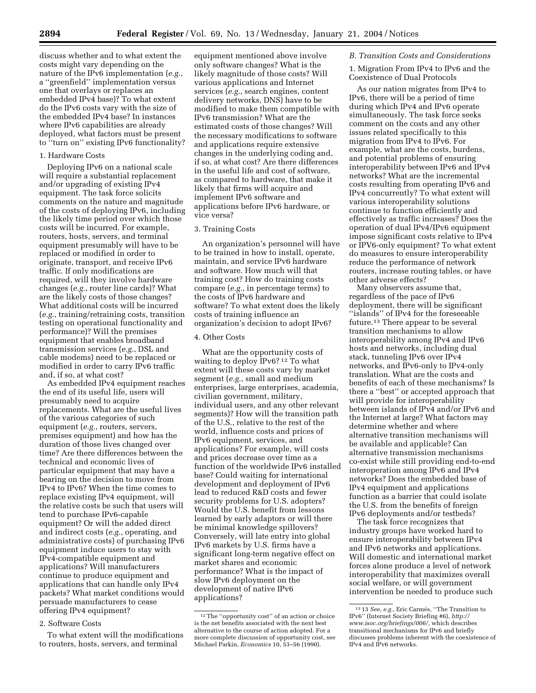discuss whether and to what extent the costs might vary depending on the nature of the IPv6 implementation (*e.g.*, a ''greenfield'' implementation versus one that overlays or replaces an embedded IPv4 base)? To what extent do the IPv6 costs vary with the size of the embedded IPv4 base? In instances where IPv6 capabilities are already deployed, what factors must be present to ''turn on'' existing IPv6 functionality?

### 1. Hardware Costs

Deploying IPv6 on a national scale will require a substantial replacement and/or upgrading of existing IPv4 equipment. The task force solicits comments on the nature and magnitude of the costs of deploying IPv6, including the likely time period over which those costs will be incurred. For example, routers, hosts, servers, and terminal equipment presumably will have to be replaced or modified in order to originate, transport, and receive IPv6 traffic. If only modifications are required, will they involve hardware changes (*e.g.*, router line cards)? What are the likely costs of those changes? What additional costs will be incurred (*e.g.*, training/retraining costs, transition testing on operational functionality and performance)? Will the premises equipment that enables broadband transmission services (*e.g.*, DSL and cable modems) need to be replaced or modified in order to carry IPv6 traffic and, if so, at what cost?

As embedded IPv4 equipment reaches the end of its useful life, users will presumably need to acquire replacements. What are the useful lives of the various categories of such equipment (*e.g.*, routers, servers, premises equipment) and how has the duration of those lives changed over time? Are there differences between the technical and economic lives of particular equipment that may have a bearing on the decision to move from IPv4 to IPv6? When the time comes to replace existing IPv4 equipment, will the relative costs be such that users will tend to purchase IPv6-capable equipment? Or will the added direct and indirect costs (*e.g.*, operating, and administrative costs) of purchasing IPv6 equipment induce users to stay with IPv4-compatible equipment and applications? Will manufacturers continue to produce equipment and applications that can handle only IPv4 packets? What market conditions would persuade manufacturers to cease offering IPv4 equipment?

### 2. Software Costs

To what extent will the modifications to routers, hosts, servers, and terminal

equipment mentioned above involve only software changes? What is the likely magnitude of those costs? Will various applications and Internet services (*e.g.*, search engines, content delivery networks, DNS) have to be modified to make them compatible with IPv6 transmission? What are the estimated costs of those changes? Will the necessary modifications to software and applications require extensive changes in the underlying coding and, if so, at what cost? Are there differences in the useful life and cost of software, as compared to hardware, that make it likely that firms will acquire and implement IPv6 software and applications before IPv6 hardware, or vice versa?

#### 3. Training Costs

An organization's personnel will have to be trained in how to install, operate, maintain, and service IPv6 hardware and software. How much will that training cost? How do training costs compare (*e.g.*, in percentage terms) to the costs of IPv6 hardware and software? To what extent does the likely costs of training influence an organization's decision to adopt IPv6?

### 4. Other Costs

What are the opportunity costs of waiting to deploy IPv6? 12 To what extent will these costs vary by market segment (*e.g.*, small and medium enterprises, large enterprises, academia, civilian government, military, individual users, and any other relevant segments)? How will the transition path of the U.S., relative to the rest of the world, influence costs and prices of IPv6 equipment, services, and applications? For example, will costs and prices decrease over time as a function of the worldwide IPv6 installed base? Could waiting for international development and deployment of IPv6 lead to reduced R&D costs and fewer security problems for U.S. adopters? Would the U.S. benefit from lessons learned by early adaptors or will there be minimal knowledge spillovers? Conversely, will late entry into global IPv6 markets by U.S. firms have a significant long-term negative effect on market shares and economic performance? What is the impact of slow IPv6 deployment on the development of native IPv6 applications?

#### *B. Transition Costs and Considerations*

1. Migration From IPv4 to IPv6 and the Coexistence of Dual Protocols

As our nation migrates from IPv4 to IPv6, there will be a period of time during which IPv4 and IPv6 operate simultaneously. The task force seeks comment on the costs and any other issues related specifically to this migration from IPv4 to IPv6. For example, what are the costs, burdens, and potential problems of ensuring interoperability between IPv6 and IPv4 networks? What are the incremental costs resulting from operating IPv6 and IPv4 concurrently? To what extent will various interoperability solutions continue to function efficiently and effectively as traffic increases? Does the operation of dual IPv4/IPv6 equipment impose significant costs relative to IPv4 or IPV6-only equipment? To what extent do measures to ensure interoperability reduce the performance of network routers, increase routing tables, or have other adverse effects?

Many observers assume that, regardless of the pace of IPv6 deployment, there will be significant ''islands'' of IPv4 for the foreseeable future.13 There appear to be several transition mechanisms to allow interoperability among IPv4 and IPv6 hosts and networks, including dual stack, tunneling IPv6 over IPv4 networks, and IPv6-only to IPv4-only translation. What are the costs and benefits of each of these mechanisms? Is there a ''best'' or accepted approach that will provide for interoperability between islands of IPv4 and/or IPv6 and the Internet at large? What factors may determine whether and where alternative transition mechanisms will be available and applicable? Can alternative transmission mechanisms co-exist while still providing end-to-end interoperation among IPv6 and IPv4 networks? Does the embedded base of IPv4 equipment and applications function as a barrier that could isolate the U.S. from the benefits of foreign IPv6 deployments and/or testbeds?

The task force recognizes that industry groups have worked hard to ensure interoperability between IPv4 and IPv6 networks and applications. Will domestic and international market forces alone produce a level of network interoperability that maximizes overall social welfare, or will government intervention be needed to produce such

<sup>12</sup>The ''opportunity cost'' of an action or choice is the net benefits associated with the next best alternative to the course of action adopted. For a more complete discussion of opportunity cost, see Michael Parkin, *Economics* 10, 53–56 (1990).

<sup>&</sup>lt;sup>13</sup> 13 *See, e.g.*, Eric Carmés, "The Transition to IPv6'' (Internet Society Briefing #6), *http:// www.isoc.org/briefings/006/,* which describes transitional mechanisms for IPv6 and briefly discusses problems inherent with the coexistence of IPv4 and IPv6 networks.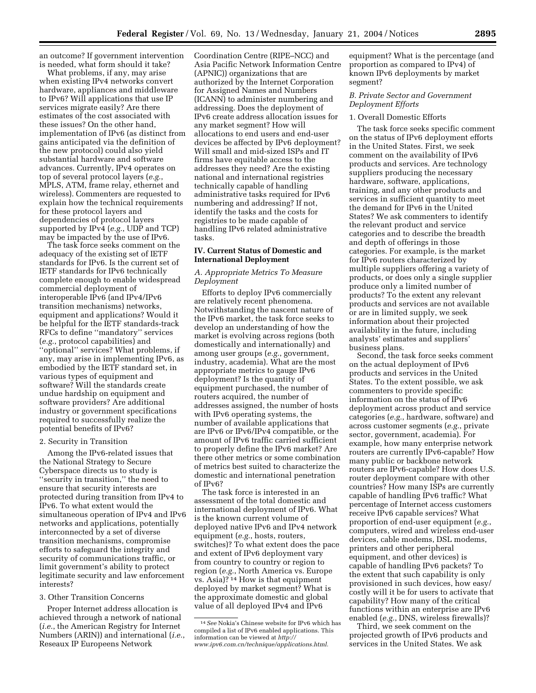an outcome? If government intervention is needed, what form should it take?

What problems, if any, may arise when existing IPv4 networks convert hardware, appliances and middleware to IPv6? Will applications that use IP services migrate easily? Are there estimates of the cost associated with these issues? On the other hand, implementation of IPv6 (as distinct from gains anticipated via the definition of the new protocol) could also yield substantial hardware and software advances. Currently, IPv4 operates on top of several protocol layers (*e.g.*, MPLS, ATM, frame relay, ethernet and wireless). Commenters are requested to explain how the technical requirements for these protocol layers and dependencies of protocol layers supported by IPv4 (*e.g.*, UDP and TCP) may be impacted by the use of IPv6.

The task force seeks comment on the adequacy of the existing set of IETF standards for IPv6. Is the current set of IETF standards for IPv6 technically complete enough to enable widespread commercial deployment of interoperable IPv6 (and IPv4/IPv6 transition mechanisms) networks, equipment and applications? Would it be helpful for the IETF standards-track RFCs to define ''mandatory'' services (*e.g.*, protocol capabilities) and ''optional'' services? What problems, if any, may arise in implementing IPv6, as embodied by the IETF standard set, in various types of equipment and software? Will the standards create undue hardship on equipment and software providers? Are additional industry or government specifications required to successfully realize the potential benefits of IPv6?

#### 2. Security in Transition

Among the IPv6-related issues that the National Strategy to Secure Cyberspace directs us to study is ''security in transition,'' the need to ensure that security interests are protected during transition from IPv4 to IPv6. To what extent would the simultaneous operation of IPv4 and IPv6 networks and applications, potentially interconnected by a set of diverse transition mechanisms, compromise efforts to safeguard the integrity and security of communications traffic, or limit government's ability to protect legitimate security and law enforcement interests?

### 3. Other Transition Concerns

Proper Internet address allocation is achieved through a network of national (*i.e.*, the American Registry for Internet Numbers (ARIN)) and international (*i.e.*, Reseaux IP Europeens Network

Coordination Centre (RIPE–NCC) and Asia Pacific Network Information Centre (APNIC)) organizations that are authorized by the Internet Corporation for Assigned Names and Numbers (ICANN) to administer numbering and addressing. Does the deployment of IPv6 create address allocation issues for any market segment? How will allocations to end users and end-user devices be affected by IPv6 deployment? Will small and mid-sized ISPs and IT firms have equitable access to the addresses they need? Are the existing national and international registries technically capable of handling administrative tasks required for IPv6 numbering and addressing? If not, identify the tasks and the costs for registries to be made capable of handling IPv6 related administrative tasks.

# **IV. Current Status of Domestic and International Deployment**

### *A. Appropriate Metrics To Measure Deployment*

Efforts to deploy IPv6 commercially are relatively recent phenomena. Notwithstanding the nascent nature of the IPv6 market, the task force seeks to develop an understanding of how the market is evolving across regions (both domestically and internationally) and among user groups (*e.g.*, government, industry, academia). What are the most appropriate metrics to gauge IPv6 deployment? Is the quantity of equipment purchased, the number of routers acquired, the number of addresses assigned, the number of hosts with IPv6 operating systems, the number of available applications that are IPv6 or IPv6/IPv4 compatible, or the amount of IPv6 traffic carried sufficient to properly define the IPv6 market? Are there other metrics or some combination of metrics best suited to characterize the domestic and international penetration of IPv6?

The task force is interested in an assessment of the total domestic and international deployment of IPv6. What is the known current volume of deployed native IPv6 and IPv4 network equipment (*e.g.*, hosts, routers, switches)? To what extent does the pace and extent of IPv6 deployment vary from country to country or region to region (*e.g.*, North America vs. Europe vs. Asia)? 14 How is that equipment deployed by market segment? What is the approximate domestic and global value of all deployed IPv4 and IPv6

equipment? What is the percentage (and proportion as compared to IPv4) of known IPv6 deployments by market segment?

# *B. Private Sector and Government Deployment Efforts*

#### 1. Overall Domestic Efforts

The task force seeks specific comment on the status of IPv6 deployment efforts in the United States. First, we seek comment on the availability of IPv6 products and services. Are technology suppliers producing the necessary hardware, software, applications, training, and any other products and services in sufficient quantity to meet the demand for IPv6 in the United States? We ask commenters to identify the relevant product and service categories and to describe the breadth and depth of offerings in those categories. For example, is the market for IPv6 routers characterized by multiple suppliers offering a variety of products, or does only a single supplier produce only a limited number of products? To the extent any relevant products and services are not available or are in limited supply, we seek information about their projected availability in the future, including analysts' estimates and suppliers' business plans.

Second, the task force seeks comment on the actual deployment of IPv6 products and services in the United States. To the extent possible, we ask commenters to provide specific information on the status of IPv6 deployment across product and service categories (*e.g.*, hardware, software) and across customer segments (*e.g.*, private sector, government, academia). For example, how many enterprise network routers are currently IPv6-capable? How many public or backbone network routers are IPv6-capable? How does U.S. router deployment compare with other countries? How many ISPs are currently capable of handling IPv6 traffic? What percentage of Internet access customers receive IPv6 capable services? What proportion of end-user equipment (*e.g.*, computers, wired and wireless end-user devices, cable modems, DSL modems, printers and other peripheral equipment, and other devices) is capable of handling IPv6 packets? To the extent that such capability is only provisioned in such devices, how easy/ costly will it be for users to activate that capability? How many of the critical functions within an enterprise are IPv6 enabled (*e.g.*, DNS, wireless firewalls)?

Third, we seek comment on the projected growth of IPv6 products and services in the United States. We ask

<sup>14</sup>*See* Nokia's Chinese website for IPv6 which has compiled a list of IPv6 enabled applications. This information can be viewed at *http:// www.ipv6.com.cn/technique/applications.html.*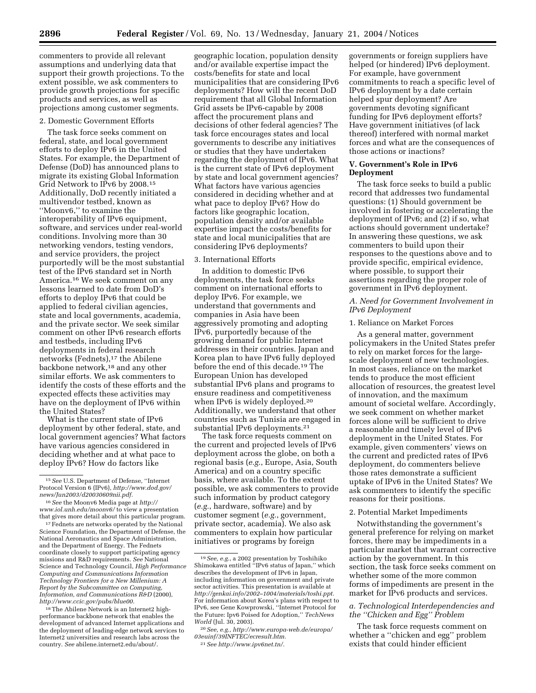commenters to provide all relevant assumptions and underlying data that support their growth projections. To the extent possible, we ask commenters to provide growth projections for specific products and services, as well as projections among customer segments.

#### 2. Domestic Government Efforts

The task force seeks comment on federal, state, and local government efforts to deploy IPv6 in the United States. For example, the Department of Defense (DoD) has announced plans to migrate its existing Global Information Grid Network to IPv6 by 2008.15 Additionally, DoD recently initiated a multivendor testbed, known as ''Moonv6,'' to examine the interoperability of IPv6 equipment, software, and services under real-world conditions. Involving more than 30 networking vendors, testing vendors, and service providers, the project purportedly will be the most substantial test of the IPv6 standard set in North America.16 We seek comment on any lessons learned to date from DoD's efforts to deploy IPv6 that could be applied to federal civilian agencies, state and local governments, academia, and the private sector. We seek similar comment on other IPv6 research efforts and testbeds, including IPv6 deployments in federal research networks (Fednets),<sup>17</sup> the Abilene backbone network,18 and any other similar efforts. We ask commenters to identify the costs of these efforts and the expected effects these activities may have on the deployment of IPv6 within the United States?

What is the current state of IPv6 deployment by other federal, state, and local government agencies? What factors have various agencies considered in deciding whether and at what pace to deploy IPv6? How do factors like

<sup>17</sup> Fednets are networks operated by the National Science Foundation, the Department of Defense, the National Aeronautics and Space Administration, and the Department of Energy. The Fednets coordinate closely to support participating agency missions and R&D requirements. *See* National Science and Technology Council, *High Performance Computing and Communications Information Technology Frontiers for a New Millenium: A Report by the Subcommittee on Computing, Information, and Communications R&D* (2000), *http://www.ccic.gov/pubs/blue00.*

<sup>18</sup>The Abilene Network is an Internet2 highperformance backbone network that enables the development of advanced Internet applications and the deployment of leading-edge network services to Internet2 universities and research labs across the country. *See* abilene.internet2.edu/about/.

geographic location, population density and/or available expertise impact the costs/benefits for state and local municipalities that are considering IPv6 deployments? How will the recent DoD requirement that all Global Information Grid assets be IPv6-capable by 2008 affect the procurement plans and decisions of other federal agencies? The task force encourages states and local governments to describe any initiatives or studies that they have undertaken regarding the deployment of IPv6. What is the current state of IPv6 deployment by state and local government agencies? What factors have various agencies considered in deciding whether and at what pace to deploy IPv6? How do factors like geographic location, population density and/or available expertise impact the costs/benefits for state and local municipalities that are considering IPv6 deployments?

### 3. International Efforts

In addition to domestic IPv6 deployments, the task force seeks comment on international efforts to deploy IPv6. For example, we understand that governments and companies in Asia have been aggressively promoting and adopting IPv6, purportedly because of the growing demand for public Internet addresses in their countries. Japan and Korea plan to have IPv6 fully deployed before the end of this decade.19 The European Union has developed substantial IPv6 plans and programs to ensure readiness and competitiveness when IPv<sub>6</sub> is widely deployed.<sup>20</sup> Additionally, we understand that other countries such as Tunisia are engaged in substantial IPv6 deployments.21

The task force requests comment on the current and projected levels of IPv6 deployment across the globe, on both a regional basis (*e.g.*, Europe, Asia, South America) and on a country specific basis, where available. To the extent possible, we ask commenters to provide such information by product category (*e.g.*, hardware, software) and by customer segment (*e.g.*, government, private sector, academia). We also ask commenters to explain how particular initiatives or programs by foreign

governments or foreign suppliers have helped (or hindered) IPv6 deployment. For example, have government commitments to reach a specific level of IPv6 deployment by a date certain helped spur deployment? Are governments devoting significant funding for IPv6 deployment efforts? Have government initiatives (of lack thereof) interfered with normal market forces and what are the consequences of those actions or inactions?

### **V. Government's Role in IPv6 Deployment**

The task force seeks to build a public record that addresses two fundamental questions: (1) Should government be involved in fostering or accelerating the deployment of IPv6; and (2) if so, what actions should government undertake? In answering these questions, we ask commenters to build upon their responses to the questions above and to provide specific, empirical evidence, where possible, to support their assertions regarding the proper role of government in IPv6 deployment.

### *A. Need for Government Involvement in IPv6 Deployment*

#### 1. Reliance on Market Forces

As a general matter, government policymakers in the United States prefer to rely on market forces for the largescale deployment of new technologies. In most cases, reliance on the market tends to produce the most efficient allocation of resources, the greatest level of innovation, and the maximum amount of societal welfare. Accordingly, we seek comment on whether market forces alone will be sufficient to drive a reasonable and timely level of IPv6 deployment in the United States. For example, given commenters' views on the current and predicted rates of IPv6 deployment, do commenters believe those rates demonstrate a sufficient uptake of IPv6 in the United States? We ask commenters to identify the specific reasons for their positions.

#### 2. Potential Market Impediments

Notwithstanding the government's general preference for relying on market forces, there may be impediments in a particular market that warrant corrective action by the government. In this section, the task force seeks comment on whether some of the more common forms of impediments are present in the market for IPv6 products and services.

### *a. Technological Interdependencies and the ''Chicken and Egg'' Problem*

The task force requests comment on whether a ''chicken and egg'' problem exists that could hinder efficient

<sup>15</sup>*See* U.S. Department of Defense, ''Internet Protocol Version 6 (IPv6), *http://www.dod.gov/ news/Jun2003/d20030609nii.pdf.*

<sup>16</sup>*See* the Moonv6 Media page at *http:// www.iol.unh.edu/moonv6/* to view a presentation that gives more detail about this particular program.

<sup>19</sup>*See, e.g.*, a 2002 presentation by Toshihiko Shimokawa entitled ''IPv6 status of Japan,'' which describes the development of IPv6 in Japan, including information on government and private sector activities. This presentation is available at *http://genkai.info/2002–1004/materials/toshi.ppt.* For information about Korea's plans with respect to IPv6, see Gene Kowprowski, ''Internet Protocol for the Future: Ipv6 Poised for Adoption,'' *TechNews World* (Jul. 30, 2003).

<sup>20</sup>*See, e.g., http://www.europa-web.de/europa/ 03euinf/39INFTEC/ecresult.htm.* 21*See http://www.ipv6net.tn/.*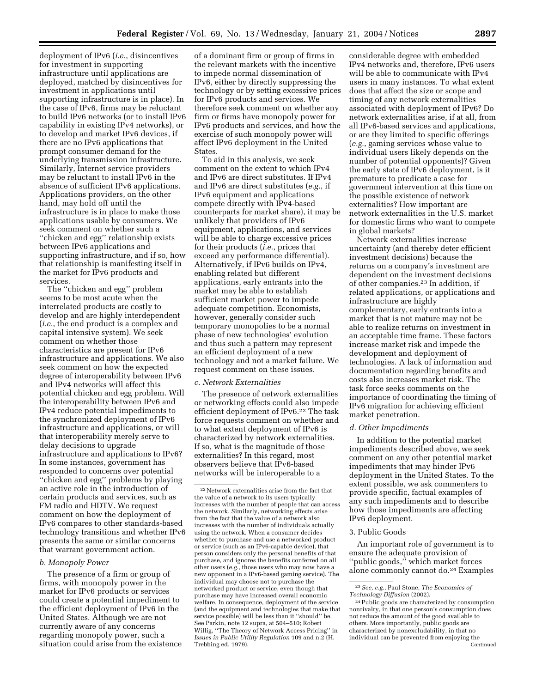deployment of IPv6 (*i.e.*, disincentives for investment in supporting infrastructure until applications are deployed, matched by disincentives for investment in applications until supporting infrastructure is in place). In the case of IPv6, firms may be reluctant to build IPv6 networks (or to install IPv6 capability in existing IPv4 networks), or to develop and market IPv6 devices, if there are no IPv6 applications that prompt consumer demand for the underlying transmission infrastructure. Similarly, Internet service providers may be reluctant to install IPv6 in the absence of sufficient IPv6 applications. Applications providers, on the other hand, may hold off until the infrastructure is in place to make those applications usable by consumers. We seek comment on whether such a ''chicken and egg'' relationship exists between IPv6 applications and supporting infrastructure, and if so, how that relationship is manifesting itself in the market for IPv6 products and services.

The ''chicken and egg'' problem seems to be most acute when the interrelated products are costly to develop and are highly interdependent (*i.e.*, the end product is a complex and capital intensive system). We seek comment on whether those characteristics are present for IPv6 infrastructure and applications. We also seek comment on how the expected degree of interoperability between IPv6 and IPv4 networks will affect this potential chicken and egg problem. Will the interoperability between IPv6 and IPv4 reduce potential impediments to the synchronized deployment of IPv6 infrastructure and applications, or will that interoperability merely serve to delay decisions to upgrade infrastructure and applications to IPv6? In some instances, government has responded to concerns over potential ''chicken and egg'' problems by playing an active role in the introduction of certain products and services, such as FM radio and HDTV. We request comment on how the deployment of IPv6 compares to other standards-based technology transitions and whether IPv6 presents the same or similar concerns that warrant government action.

### *b. Monopoly Power*

The presence of a firm or group of firms, with monopoly power in the market for IPv6 products or services could create a potential impediment to the efficient deployment of IPv6 in the United States. Although we are not currently aware of any concerns regarding monopoly power, such a situation could arise from the existence

of a dominant firm or group of firms in the relevant markets with the incentive to impede normal dissemination of IPv6, either by directly suppressing the technology or by setting excessive prices for IPv6 products and services. We therefore seek comment on whether any firm or firms have monopoly power for IPv6 products and services, and how the exercise of such monopoly power will affect IPv6 deployment in the United States.

To aid in this analysis, we seek comment on the extent to which IPv4 and IPv6 are direct substitutes. If IPv4 and IPv6 are direct substitutes (*e.g.*, if IPv6 equipment and applications compete directly with IPv4-based counterparts for market share), it may be unlikely that providers of IPv6 equipment, applications, and services will be able to charge excessive prices for their products (*i.e.*, prices that exceed any performance differential). Alternatively, if IPv6 builds on IPv4, enabling related but different applications, early entrants into the market may be able to establish sufficient market power to impede adequate competition. Economists, however, generally consider such temporary monopolies to be a normal phase of new technologies' evolution and thus such a pattern may represent an efficient deployment of a new technology and not a market failure. We request comment on these issues.

#### *c. Network Externalities*

The presence of network externalities or networking effects could also impede efficient deployment of IPv6.<sup>22</sup> The task force requests comment on whether and to what extent deployment of IPv6 is characterized by network externalities. If so, what is the magnitude of those externalities? In this regard, most observers believe that IPv6-based networks will be interoperable to a

considerable degree with embedded IPv4 networks and, therefore, IPv6 users will be able to communicate with IPv4 users in many instances. To what extent does that affect the size or scope and timing of any network externalities associated with deployment of IPv6? Do network externalities arise, if at all, from all IPv6-based services and applications, or are they limited to specific offerings (*e.g.*, gaming services whose value to individual users likely depends on the number of potential opponents)? Given the early state of IPv6 deployment, is it premature to predicate a case for government intervention at this time on the possible existence of network externalities? How important are network externalities in the U.S. market for domestic firms who want to compete in global markets?

Network externalities increase uncertainty (and thereby deter efficient investment decisions) because the returns on a company's investment are dependent on the investment decisions of other companies.23 In addition, if related applications, or applications and infrastructure are highly complementary, early entrants into a market that is not mature may not be able to realize returns on investment in an acceptable time frame. These factors increase market risk and impede the development and deployment of technologies. A lack of information and documentation regarding benefits and costs also increases market risk. The task force seeks comments on the importance of coordinating the timing of IPv6 migration for achieving efficient market penetration.

#### *d. Other Impediments*

In addition to the potential market impediments described above, we seek comment on any other potential market impediments that may hinder IPv6 deployment in the United States. To the extent possible, we ask commenters to provide specific, factual examples of any such impediments and to describe how those impediments are affecting IPv6 deployment.

### 3. Public Goods

An important role of government is to ensure the adequate provision of "public goods," which market forces alone commonly cannot do.24 Examples

 $^{\rm 22}\,$  Network externalities arise from the fact that the value of a network to its users typically increases with the number of people that can access the network. Similarly, networking effects arise from the fact that the value of a network also increases with the number of individuals actually using the network. When a consumer decides whether to purchase and use a networked product or service (such as an IPv6-capable device), that person considers only the personal benefits of that purchase, and ignores the benefits conferred on all other users (*e.g.*, those users who may now have a new opponent in a IPv6-based gaming service). The individual may choose not to purchase the networked product or service, even though that purchase may have increased overall economic welfare. In consequence, deployment of the service (and the equipment and technologies that make that service possible) will be less than it ''should'' be. See Parkin, note 12 supra, at 504–510; Robert Willig, ''The Theory of Network Access Pricing'' in *Issues in Public Utility Regulation* 109 and n.2 (H. Trebbing ed. 1979).

<sup>23</sup>*See, e.g.*, Paul Stone, *The Economics of Technology Diffusion* (2002).

<sup>24</sup>Public goods are characterized by consumption nonrivalry, in that one person's consumption does not reduce the amount of the good available to others. More importantly, public goods are characterized by nonexcludability, in that no individual can be prevented from enjoying the Continued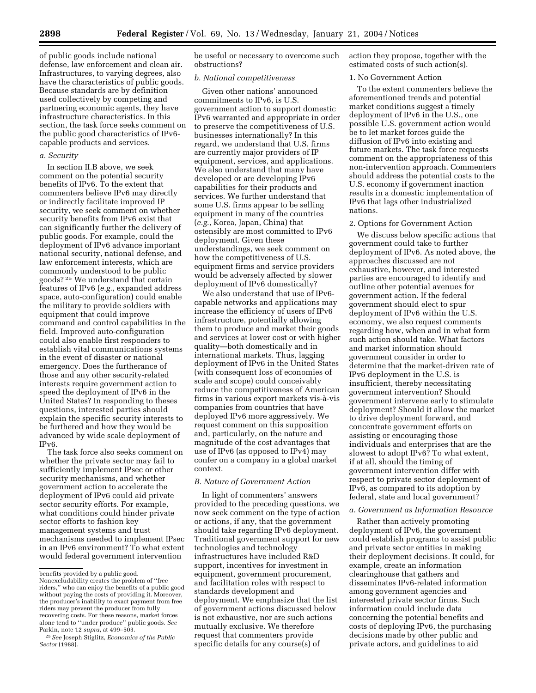of public goods include national defense, law enforcement and clean air. Infrastructures, to varying degrees, also have the characteristics of public goods. Because standards are by definition used collectively by competing and partnering economic agents, they have infrastructure characteristics. In this section, the task force seeks comment on the public good characteristics of IPv6 capable products and services.

#### *a. Security*

In section II.B above, we seek comment on the potential security benefits of IPv6. To the extent that commenters believe IPv6 may directly or indirectly facilitate improved IP security, we seek comment on whether security benefits from IPv6 exist that can significantly further the delivery of public goods. For example, could the deployment of IPv6 advance important national security, national defense, and law enforcement interests, which are commonly understood to be public goods? 25 We understand that certain features of IPv6 (*e.g.*, expanded address space, auto-configuration) could enable the military to provide soldiers with equipment that could improve command and control capabilities in the field. Improved auto-configuration could also enable first responders to establish vital communications systems in the event of disaster or national emergency. Does the furtherance of those and any other security-related interests require government action to speed the deployment of IPv6 in the United States? In responding to theses questions, interested parties should explain the specific security interests to be furthered and how they would be advanced by wide scale deployment of IPv6.

The task force also seeks comment on whether the private sector may fail to sufficiently implement IPsec or other security mechanisms, and whether government action to accelerate the deployment of IPv6 could aid private sector security efforts. For example, what conditions could hinder private sector efforts to fashion key management systems and trust mechanisms needed to implement IPsec in an IPv6 environment? To what extent would federal government intervention

be useful or necessary to overcome such obstructions?

### *b. National competitiveness*

Given other nations' announced commitments to IPv6, is U.S. government action to support domestic IPv6 warranted and appropriate in order to preserve the competitiveness of U.S. businesses internationally? In this regard, we understand that U.S. firms are currently major providers of IP equipment, services, and applications. We also understand that many have developed or are developing IPv6 capabilities for their products and services. We further understand that some U.S. firms appear to be selling equipment in many of the countries (*e.g.*, Korea, Japan, China) that ostensibly are most committed to IPv6 deployment. Given these understandings, we seek comment on how the competitiveness of U.S. equipment firms and service providers would be adversely affected by slower deployment of IPv6 domestically?

We also understand that use of IPv6 capable networks and applications may increase the efficiency of users of IPv6 infrastructure, potentially allowing them to produce and market their goods and services at lower cost or with higher quality—both domestically and in international markets. Thus, lagging deployment of IPv6 in the United States (with consequent loss of economies of scale and scope) could conceivably reduce the competitiveness of American firms in various export markets vis-à-vis companies from countries that have deployed IPv6 more aggressively. We request comment on this supposition and, particularly, on the nature and magnitude of the cost advantages that use of IPv6 (as opposed to IPv4) may confer on a company in a global market context.

### *B. Nature of Government Action*

In light of commenters' answers provided to the preceding questions, we now seek comment on the type of action or actions, if any, that the government should take regarding IPv6 deployment. Traditional government support for new technologies and technology infrastructures have included R&D support, incentives for investment in equipment, government procurement, and facilitation roles with respect to standards development and deployment. We emphasize that the list of government actions discussed below is not exhaustive, nor are such actions mutually exclusive. We therefore request that commenters provide specific details for any course(s) of

action they propose, together with the estimated costs of such action(s).

### 1. No Government Action

To the extent commenters believe the aforementioned trends and potential market conditions suggest a timely deployment of IPv6 in the U.S., one possible U.S. government action would be to let market forces guide the diffusion of IPv6 into existing and future markets. The task force requests comment on the appropriateness of this non-intervention approach. Commenters should address the potential costs to the U.S. economy if government inaction results in a domestic implementation of IPv6 that lags other industrialized nations.

#### 2. Options for Government Action

We discuss below specific actions that government could take to further deployment of IPv6. As noted above, the approaches discussed are not exhaustive, however, and interested parties are encouraged to identify and outline other potential avenues for government action. If the federal government should elect to spur deployment of IPv6 within the U.S. economy, we also request comments regarding how, when and in what form such action should take. What factors and market information should government consider in order to determine that the market-driven rate of IPv6 deployment in the U.S. is insufficient, thereby necessitating government intervention? Should government intervene early to stimulate deployment? Should it allow the market to drive deployment forward, and concentrate government efforts on assisting or encouraging those individuals and enterprises that are the slowest to adopt IPv6? To what extent, if at all, should the timing of government intervention differ with respect to private sector deployment of IPv6, as compared to its adoption by federal, state and local government?

### *a. Government as Information Resource*

Rather than actively promoting deployment of IPv6, the government could establish programs to assist public and private sector entities in making their deployment decisions. It could, for example, create an information clearinghouse that gathers and disseminates IPv6-related information among government agencies and interested private sector firms. Such information could include data concerning the potential benefits and costs of deploying IPv6, the purchasing decisions made by other public and private actors, and guidelines to aid

benefits provided by a public good. Nonexcludability creates the problem of ''free riders,'' who can enjoy the benefits of a public good without paying the costs of providing it. Moreover, the producer's inability to exact payment from free riders may prevent the producer from fully recovering costs. For these reasons, market forces alone tend to ''under produce'' public goods. *See* Parkin, note 12 *supra*, at 499–503.

<sup>25</sup>*See* Joseph Stiglitz, *Economics of the Public Sector* (1988).